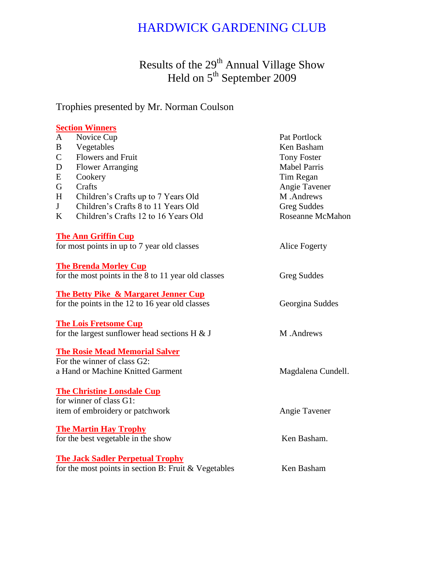## HARDWICK GARDENING CLUB

Results of the 29<sup>th</sup> Annual Village Show Held on 5<sup>th</sup> September 2009

Trophies presented by Mr. Norman Coulson

## **Section Winners**

| $\mathbf{A}$ | Novice Cup                                           | Pat Portlock            |
|--------------|------------------------------------------------------|-------------------------|
| $\bf{B}$     | Vegetables                                           | Ken Basham              |
| $\mathsf{C}$ | Flowers and Fruit                                    | <b>Tony Foster</b>      |
| $\mathbf D$  | <b>Flower Arranging</b>                              | <b>Mabel Parris</b>     |
| E            | Cookery                                              | Tim Regan               |
| G            | Crafts                                               | Angie Tavener           |
| H            | Children's Crafts up to 7 Years Old                  | M.Andrews               |
| J            | Children's Crafts 8 to 11 Years Old                  | <b>Greg Suddes</b>      |
| K            | Children's Crafts 12 to 16 Years Old                 | <b>Roseanne McMahon</b> |
|              | <b>The Ann Griffin Cup</b>                           |                         |
|              | for most points in up to 7 year old classes          | Alice Fogerty           |
|              | <b>The Brenda Morley Cup</b>                         |                         |
|              | for the most points in the 8 to 11 year old classes  | Greg Suddes             |
|              | <b>The Betty Pike &amp; Margaret Jenner Cup</b>      |                         |
|              | for the points in the 12 to 16 year old classes      | Georgina Suddes         |
|              | <b>The Lois Fretsome Cup</b>                         |                         |
|              | for the largest sunflower head sections $H \& J$     | M.Andrews               |
|              | <b>The Rosie Mead Memorial Salver</b>                |                         |
|              | For the winner of class G2:                          |                         |
|              | a Hand or Machine Knitted Garment                    | Magdalena Cundell.      |
|              | <b>The Christine Lonsdale Cup</b>                    |                         |
|              | for winner of class G1:                              |                         |
|              | item of embroidery or patchwork                      | Angie Tavener           |
|              | <b>The Martin Hay Trophy</b>                         |                         |
|              | for the best vegetable in the show                   | Ken Basham.             |
|              | <b>The Jack Sadler Perpetual Trophy</b>              |                         |
|              | for the most points in section B: Fruit & Vegetables | Ken Basham              |